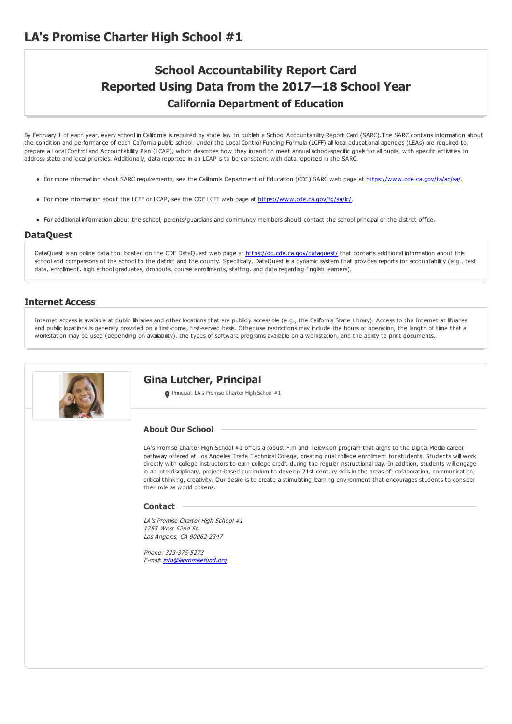## **School Accountability Report Card Reported Using Data from the 2017—18 School Year California Department of Education**

By February 1 of each year, every school in California is required by state law to publish a School Accountability Report Card (SARC).The SARC contains information about the condition and performance of each California public school. Under the Local Control Funding Formula (LCFF) all local educational agencies (LEAs) are required to prepare a Local Control and Accountability Plan (LCAP), which describes how they intend to meet annual school-specific goals for all pupils, with specific activities to address state and local priorities. Additionally, data reported in an LCAP is to be consistent with data reported in the SARC.

- For more information about SARC requirements, see the California Department of Education (CDE) SARC web page at <https://www.cde.ca.gov/ta/ac/sa/>.
- For more information about the LCFF or LCAP, see the CDE LCFF web page at <https://www.cde.ca.gov/fg/aa/lc/>.
- For additional information about the school, parents/guardians and community members should contact the school principal or the district office.

#### **DataQuest**

DataQuest is an online data tool located on the CDE DataQuest web page at <https://dq.cde.ca.gov/dataquest/> that contains additional information about this school and comparisons of the school to the district and the county. Specifically, DataQuest is a dynamic system that provides reports for accountability (e.g., test data, enrollment, high school graduates, dropouts, course enrollments, staffing, and data regarding English learners).

#### **Internet Access**

Internet access is available at public libraries and other locations that are publicly accessible (e.g., the California State Library). Access to the Internet at libraries and public locations is generally provided on a first-come, first-served basis. Other use restrictions may include the hours of operation, the length of time that a workstation may be used (depending on availability), the types of software programs available on a workstation, and the ability to print documents.

# **Gina Lutcher, Principal** Principal, LA's Promise Charter High School #1 LA's Promise Charter High School #1 offers a robust Film and Television program that aligns to the Digital Media career pathway offered at Los Angeles Trade Technical College, creating dual college enrollment for students. Students will work directly with college instructors to earn college credit during the regular instructional day. In addition, students will engage in an interdisciplinary, project-based curriculum to develop 21st century skills in the areas of: collaboration, communication, critical thinking, creativity. Our desire is to create a stimulating learning environment that encourages students to consider their role as world citizens. LA's Promise Charter High School #1 1755 West 52nd St. Los Angeles, CA 90062-2347 Phone: 323-375-5273 E-mail: [info@lapromisefund.org](mailto:info@lapromisefund.org) **About Our School Contact**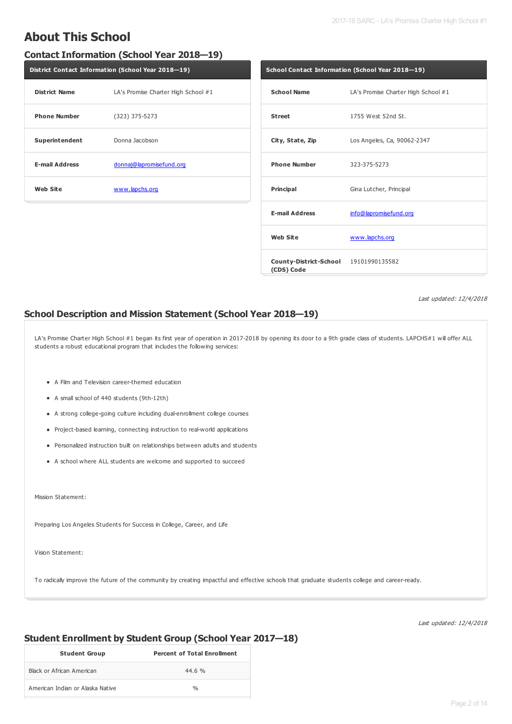## **About This School**

### **Contact Information (School Year 2018—19)**

| District Contact Information (School Year 2018-19) |                                     |  |  |
|----------------------------------------------------|-------------------------------------|--|--|
| <b>District Name</b>                               | LA's Promise Charter High School #1 |  |  |
| <b>Phone Number</b>                                | $(323)$ 375-5273                    |  |  |
| Superintendent                                     | Donna Jacobson                      |  |  |
| <b>E-mail Address</b>                              | donnaj@lapromisefund.org            |  |  |
| <b>Web Site</b>                                    | www.lapchs.org                      |  |  |

| School Contact Information (School Year 2018–19)    |                                     |  |  |
|-----------------------------------------------------|-------------------------------------|--|--|
| <b>School Name</b>                                  | LA's Promise Charter High School #1 |  |  |
| <b>Street</b>                                       | 1755 West 52nd St.                  |  |  |
| City, State, Zip                                    | Los Angeles, Ca, 90062-2347         |  |  |
| <b>Phone Number</b>                                 | 323-375-5273                        |  |  |
| Principal                                           | Gina Lutcher, Principal             |  |  |
| <b>E-mail Address</b>                               | info@lapromisefund.org              |  |  |
| <b>Web Site</b>                                     | www.lapchs.org                      |  |  |
| County-District-School 19101990135582<br>(CDS) Code |                                     |  |  |

Last updated: 12/4/2018

### **School Description and Mission Statement (School Year 2018—19)**

LA's Promise Charter High School #1 began its first year of operation in 2017-2018 by opening its door to a 9th grade class of students. LAPCHS#1 will offer ALL students a robust educational program that includes the following services:

- A Film and Television career-themed education
- A small school of 440 students (9th-12th)
- A strong college-going culture including dual-enrollment college courses
- Project-based learning, connecting instruction to real-world applications
- Personalized instruction built on relationships between adults and students
- A school where ALL students are welcome and supported to succeed

Mission Statement:

Preparing Los Angeles Students for Success in College, Career, and Life

Vision Statement:

To radically improve the future of the community by creating impactful and effective schools that graduate students college and career-ready.

Last updated: 12/4/2018

### **Student Enrollment by Student Group (School Year 2017—18)**

| <b>Student Group</b>             | <b>Percent of Total Enrollment</b> |
|----------------------------------|------------------------------------|
| Black or African American        | 44.6 %                             |
| American Indian or Alaska Native | $\frac{0}{n}$                      |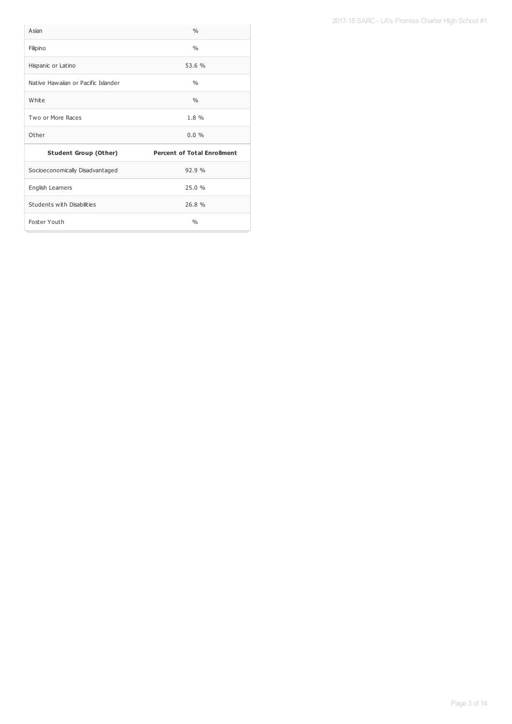| Asian                               | 0/6                                |
|-------------------------------------|------------------------------------|
| Filipino                            | $\frac{0}{0}$                      |
| Hispanic or Latino                  | 53.6 %                             |
| Native Hawaiian or Pacific Islander | 0/6                                |
| White                               | $\frac{0}{0}$                      |
| Two or More Races                   | 1.8 %                              |
| Other                               | $0.0\%$                            |
| <b>Student Group (Other)</b>        | <b>Percent of Total Enrollment</b> |
| Socioeconomically Disadvantaged     | 92.9%                              |
| English Learners                    | 25.0 %                             |
| Students with Disabilities          | 26.8%                              |
| Foster Youth                        | $\frac{0}{0}$                      |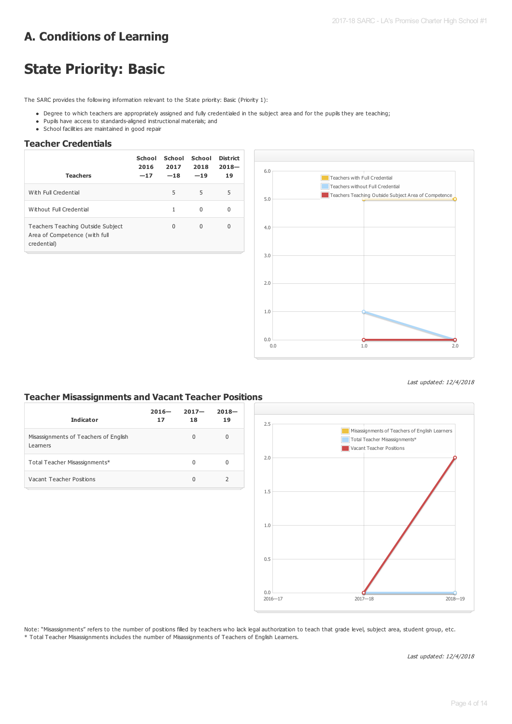## **A. Conditions of Learning**

# **State Priority: Basic**

The SARC provides the following information relevant to the State priority: Basic (Priority 1):

- . Degree to which teachers are appropriately assigned and fully credentialed in the subject area and for the pupils they are teaching;
- Pupils have access to standards-aligned instructional materials; and
- School facilities are maintained in good repair

#### **Teacher Credentials**

| <b>Teachers</b>                                                                   | School<br>2016<br>$-17$ | School<br>2017<br>$-18$ | School<br>2018<br>$-19$ | <b>District</b><br>$2018 -$<br>19 |
|-----------------------------------------------------------------------------------|-------------------------|-------------------------|-------------------------|-----------------------------------|
| With Full Credential                                                              |                         | 5                       | 5                       | 5                                 |
| Without Full Credential                                                           |                         | 1                       | 0                       | 0                                 |
| Teachers Teaching Outside Subject<br>Area of Competence (with full<br>credential) |                         | 0                       | $\Omega$                | 0                                 |



Last updated: 12/4/2018

### **Teacher Misassignments and Vacant Teacher Positions**

| <b>Indicator</b>                                  | $2016 -$<br>17 | $2017 -$<br>18 | $2018 -$<br>19 |
|---------------------------------------------------|----------------|----------------|----------------|
| Misassignments of Teachers of English<br>Learners |                | $\Omega$       | 0              |
| Total Teacher Misassignments*                     |                | 0              | 0              |
| Vacant Teacher Positions                          |                | $\Omega$       |                |



Note: "Misassignments" refers to the number of positions filled by teachers who lack legal authorization to teach that grade level, subject area, student group, etc. \* Total Teacher Misassignments includes the number of Misassignments of Teachers of English Learners.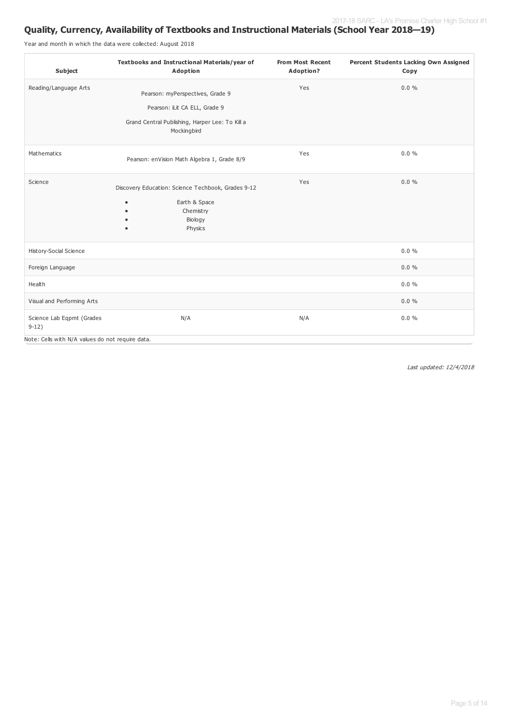### **Quality, Currency, Availability of Textbooks and Instructional Materials (School Year 2018—19)**

Year and month in which the data were collected: August 2018

| <b>Subject</b>                                   | Textbooks and Instructional Materials/year of<br>Adoption      | <b>From Most Recent</b><br>Adoption? | Percent Students Lacking Own Assigned<br>Copy |
|--------------------------------------------------|----------------------------------------------------------------|--------------------------------------|-----------------------------------------------|
| Reading/Language Arts                            | Pearson: myPerspectives, Grade 9                               | Yes                                  | $0.0 \%$                                      |
|                                                  | Pearson: iLit CA ELL, Grade 9                                  |                                      |                                               |
|                                                  | Grand Central Publishing, Harper Lee: To Kill a<br>Mockingbird |                                      |                                               |
| Mathematics                                      | Pearson: enVision Math Algebra 1, Grade 8/9                    | Yes                                  | $0.0 \%$                                      |
| Science                                          | Discovery Education: Science Techbook, Grades 9-12             | Yes                                  | $0.0 \%$                                      |
|                                                  | Earth & Space<br>٠<br>Chemistry                                |                                      |                                               |
|                                                  | Biology<br>Physics<br>$\bullet$                                |                                      |                                               |
| History-Social Science                           |                                                                |                                      | $0.0 \%$                                      |
| Foreign Language                                 |                                                                |                                      | $0.0 \%$                                      |
| Health                                           |                                                                |                                      | $0.0 \%$                                      |
| Visual and Performing Arts                       |                                                                |                                      | $0.0 \%$                                      |
| Science Lab Eqpmt (Grades<br>$9-12)$             | N/A                                                            | N/A                                  | $0.0 \%$                                      |
| Note: Cells with N/A values do not require data. |                                                                |                                      |                                               |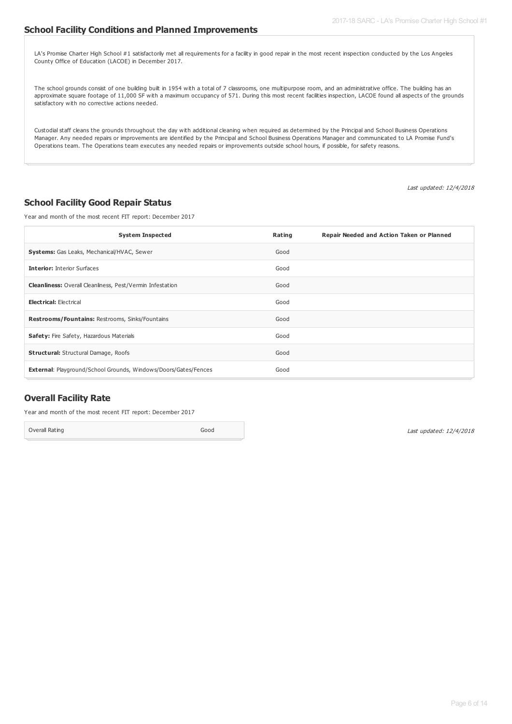#### **School Facility Conditions and Planned Improvements**

LA's Promise Charter High School #1 satisfactorily met all requirements for a facility in good repair in the most recent inspection conducted by the Los Angeles County Office of Education (LACOE) in December 2017.

The school grounds consist of one building built in 1954 with a total of 7 classrooms, one multipurpose room, and an administrative office. The building has an approximate square footage of 11,000 SF with a maximum occupancy of 571. During this most recent facilities inspection, LACOE found all aspects of the grounds satisfactory with no corrective actions needed.

Custodial staff cleans the grounds throughout the day with additional cleaning when required as determined by the Principal and School Business Operations Manager. Any needed repairs or improvements are identified by the Principal and School Business Operations Manager and communicated to LA Promise Fund's Operations team. The Operations team executes any needed repairs or improvements outside school hours, if possible, for safety reasons.

Last updated: 12/4/2018

#### **School Facility Good Repair Status**

Year and month of the most recent FIT report: December 2017

| <b>System Inspected</b>                                                | Rating | Repair Needed and Action Taken or Planned |
|------------------------------------------------------------------------|--------|-------------------------------------------|
| <b>Systems:</b> Gas Leaks, Mechanical/HVAC, Sewer                      | Good   |                                           |
| <b>Interior: Interior Surfaces</b>                                     | Good   |                                           |
| <b>Cleanliness:</b> Overall Cleanliness, Pest/Vermin Infestation       | Good   |                                           |
| <b>Electrical: Electrical</b>                                          | Good   |                                           |
| Restrooms/Fountains: Restrooms, Sinks/Fountains                        | Good   |                                           |
| Safety: Fire Safety, Hazardous Materials                               | Good   |                                           |
| <b>Structural:</b> Structural Damage, Roofs                            | Good   |                                           |
| <b>External: Playground/School Grounds, Windows/Doors/Gates/Fences</b> | Good   |                                           |

#### **Overall Facility Rate**

Year and month of the most recent FIT report: December 2017

Overall Rating Good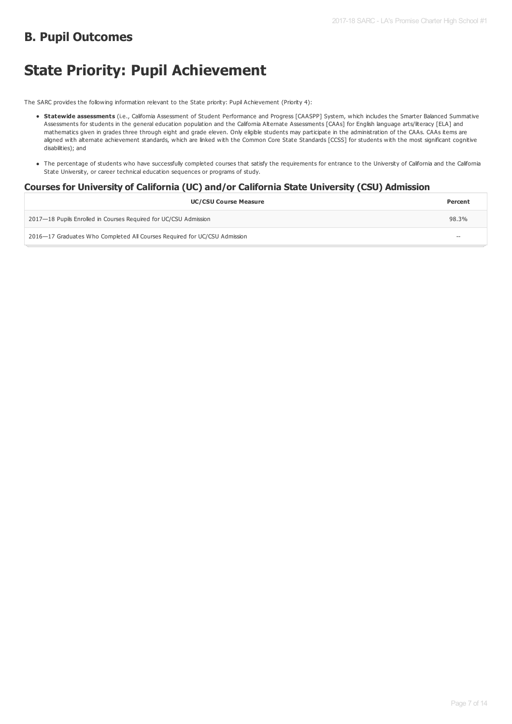## **B. Pupil Outcomes**

# **State Priority: Pupil Achievement**

The SARC provides the following information relevant to the State priority: Pupil Achievement (Priority 4):

- **Statewide assessments** (i.e., California Assessment of Student Performance and Progress [CAASPP] System, which includes the Smarter Balanced Summative Assessments for students in the general education population and the California Alternate Assessments [CAAs] for English language arts/literacy [ELA] and mathematics given in grades three through eight and grade eleven. Only eligible students may participate in the administration of the CAAs. CAAs items are aligned with alternate achievement standards, which are linked with the Common Core State Standards [CCSS] for students with the most significant cognitive disabilities); and
- The percentage of students who have successfully completed courses that satisfy the requirements for entrance to the University of California and the California State University, or career technical education sequences or programs of study.

### **Courses for University of California (UC) and/or California State University (CSU) Admission**

| <b>UC/CSU Course Measure</b>                                              | Percent           |
|---------------------------------------------------------------------------|-------------------|
| 2017—18 Pupils Enrolled in Courses Required for UC/CSU Admission          | 98.3%             |
| 2016–17 Graduates Who Completed All Courses Required for UC/CSU Admission | $\hspace{0.05cm}$ |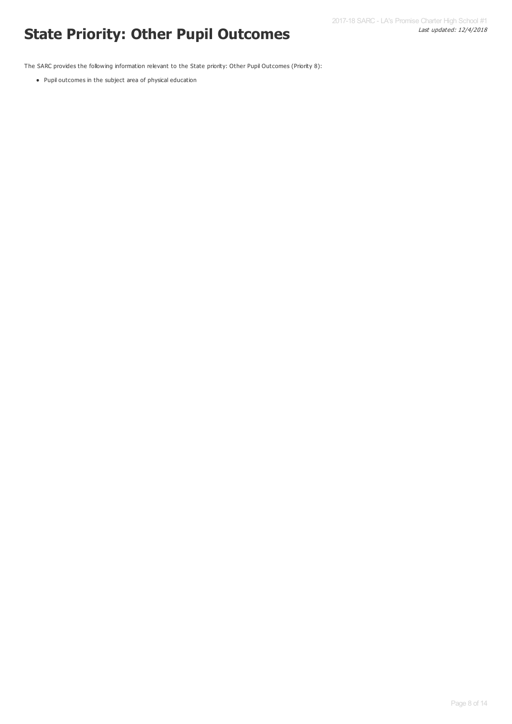# Last updated: 12/4/2018 **State Priority: Other Pupil Outcomes**

The SARC provides the following information relevant to the State priority: Other Pupil Outcomes (Priority 8):

Pupil outcomes in the subject area of physical education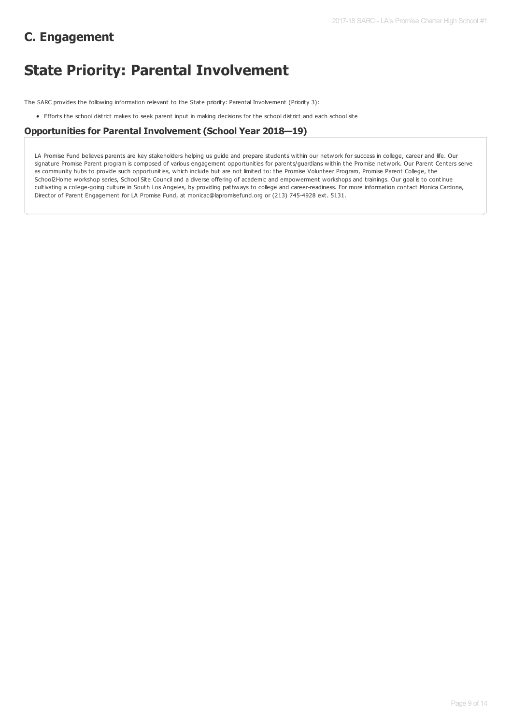## **C. Engagement**

# **State Priority: Parental Involvement**

The SARC provides the following information relevant to the State priority: Parental Involvement (Priority 3):

Efforts the school district makes to seek parent input in making decisions for the school district and each school site

#### **Opportunities for Parental Involvement (School Year 2018—19)**

LA Promise Fund believes parents are key stakeholders helping us guide and prepare students within our network for success in college, career and life. Our signature Promise Parent program is composed of various engagement opportunities for parents/guardians within the Promise network. Our Parent Centers serve as community hubs to provide such opportunities, which include but are not limited to: the Promise Volunteer Program, Promise Parent College, the School2Home workshop series, School Site Council and a diverse offering of academic and empowerment workshops and trainings. Our goal is to continue cultivating a college-going culture in South Los Angeles, by providing pathways to college and career-readiness. For more information contact Monica Cardona, Director of Parent Engagement for LA Promise Fund, at monicac@lapromisefund.org or (213) 745-4928 ext. 5131.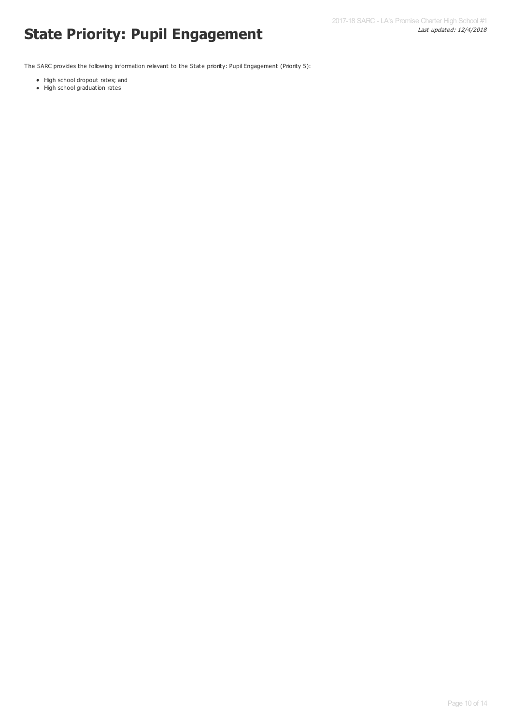# Last updated: 12/4/2018 **State Priority: Pupil Engagement**

The SARC provides the following information relevant to the State priority: Pupil Engagement (Priority 5):

- High school dropout rates; and
- High school graduation rates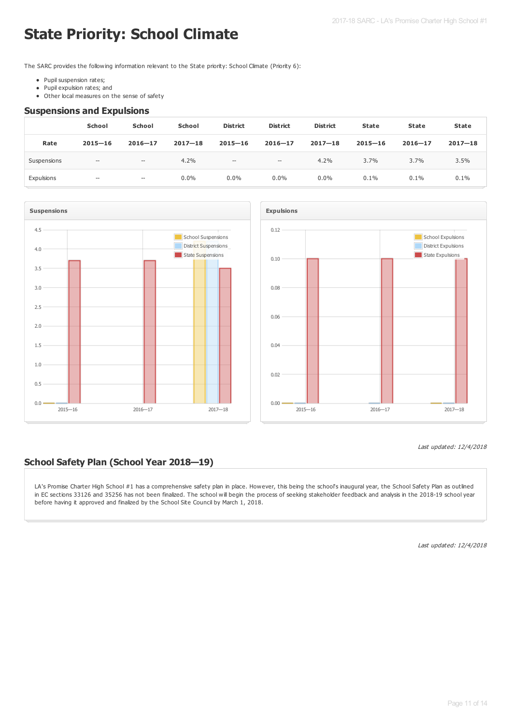# **State Priority: School Climate**

The SARC provides the following information relevant to the State priority: School Climate (Priority 6):

- Pupil suspension rates;
- Pupil expulsion rates; and  $\bullet$
- Other local measures on the sense of safety

#### **Suspensions and Expulsions**

|             | School                                              | <b>School</b> | <b>School</b> | <b>District</b>                                     | <b>District</b>                                     | <b>District</b> | <b>State</b> | State       | <b>State</b> |
|-------------|-----------------------------------------------------|---------------|---------------|-----------------------------------------------------|-----------------------------------------------------|-----------------|--------------|-------------|--------------|
| Rate        | $2015 - 16$                                         | $2016 - 17$   | $2017 - 18$   | $2015 - 16$                                         | $2016 - 17$                                         | $2017 - 18$     | $2015 - 16$  | $2016 - 17$ | $2017 - 18$  |
| Suspensions | $-\!$                                               | $-\!$         | 4.2%          | $\hspace{0.05cm} -\hspace{0.05cm} -\hspace{0.05cm}$ | $\hspace{0.05cm} -\hspace{0.05cm} -\hspace{0.05cm}$ | 4.2%            | 3.7%         | 3.7%        | 3.5%         |
| Expulsions  | $\hspace{0.05cm} -\hspace{0.05cm} -\hspace{0.05cm}$ | $-\!$         | $0.0\%$       | $0.0\%$                                             | $0.0\%$                                             | $0.0\%$         | 0.1%         | 0.1%        | 0.1%         |





#### Last updated: 12/4/2018

### **School Safety Plan (School Year 2018—19)**

LA's Promise Charter High School #1 has a comprehensive safety plan in place. However, this being the school's inaugural year, the School Safety Plan as outlined in EC sections 33126 and 35256 has not been finalized. The school will begin the process of seeking stakeholder feedback and analysis in the 2018-19 school year before having it approved and finalized by the School Site Council by March 1, 2018.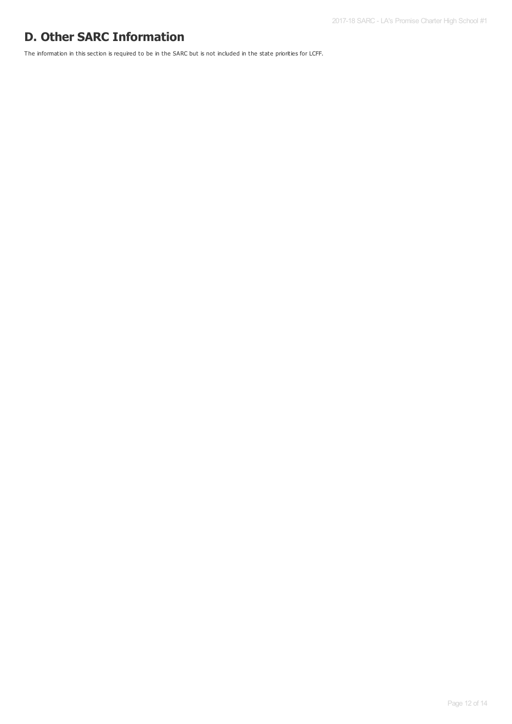## **D. Other SARC Information**

The information in this section is required to be in the SARC but is not included in the state priorities for LCFF.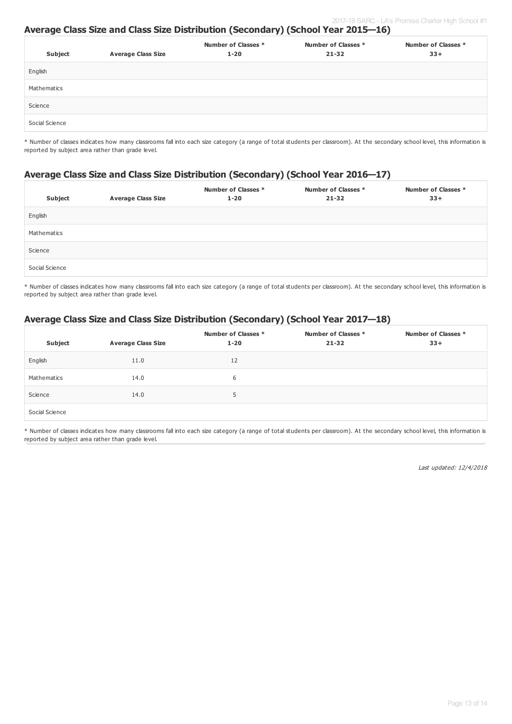#### **Average Class Size and Class Size Distribution (Secondary) (School Year 2015—16)**

| Subject        | <b>Average Class Size</b> | Number of Classes *<br>$1 - 20$ | Number of Classes *<br>$21 - 32$ | Number of Classes *<br>$33+$ |
|----------------|---------------------------|---------------------------------|----------------------------------|------------------------------|
| English        |                           |                                 |                                  |                              |
| Mathematics    |                           |                                 |                                  |                              |
| Science        |                           |                                 |                                  |                              |
| Social Science |                           |                                 |                                  |                              |

\* Number of classes indicates how many classrooms fall into each size category (a range of total students per classroom). At the secondary school level, this information is reported by subject area rather than grade level.

### **Average Class Size and Class Size Distribution (Secondary) (School Year 2016—17)**

| Subject        | <b>Average Class Size</b> | Number of Classes *<br>$1 - 20$ | Number of Classes *<br>$21 - 32$ | Number of Classes *<br>$33+$ |
|----------------|---------------------------|---------------------------------|----------------------------------|------------------------------|
| English        |                           |                                 |                                  |                              |
| Mathematics    |                           |                                 |                                  |                              |
| Science        |                           |                                 |                                  |                              |
| Social Science |                           |                                 |                                  |                              |

\* Number of classes indicates how many classrooms fall into each size category (a range of total students per classroom). At the secondary school level, this information is reported by subject area rather than grade level.

### **Average Class Size and Class Size Distribution (Secondary) (School Year 2017—18)**

| Subject        | <b>Average Class Size</b> | Number of Classes *<br>$1 - 20$ | Number of Classes *<br>$21 - 32$ | Number of Classes *<br>$33+$ |
|----------------|---------------------------|---------------------------------|----------------------------------|------------------------------|
| English        | 11.0                      | 12                              |                                  |                              |
| Mathematics    | 14.0                      | 6                               |                                  |                              |
| Science        | 14.0                      | 5                               |                                  |                              |
| Social Science |                           |                                 |                                  |                              |

\* Number of classes indicates how many classrooms fall into each size category (a range of total students per classroom). At the secondary school level, this information is reported by subject area rather than grade level.